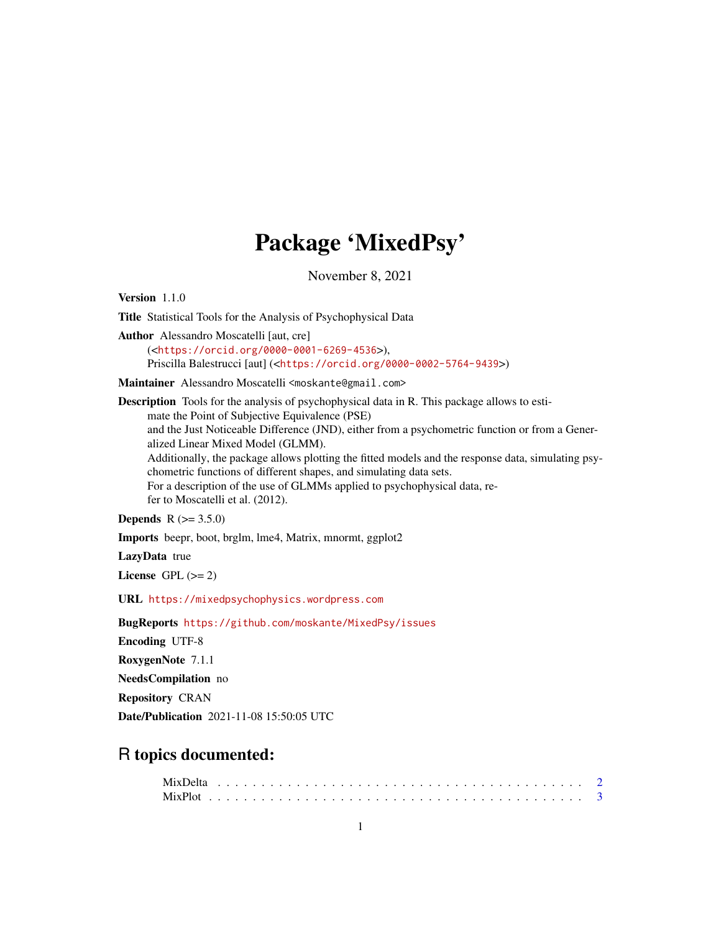# Package 'MixedPsy'

November 8, 2021

<span id="page-0-0"></span>Version 1.1.0

Title Statistical Tools for the Analysis of Psychophysical Data

Author Alessandro Moscatelli [aut, cre] (<<https://orcid.org/0000-0001-6269-4536>>), Priscilla Balestrucci [aut] (<<https://orcid.org/0000-0002-5764-9439>>)

Maintainer Alessandro Moscatelli <moskante@gmail.com>

Description Tools for the analysis of psychophysical data in R. This package allows to estimate the Point of Subjective Equivalence (PSE) and the Just Noticeable Difference (JND), either from a psychometric function or from a Generalized Linear Mixed Model (GLMM). Additionally, the package allows plotting the fitted models and the response data, simulating psychometric functions of different shapes, and simulating data sets. For a description of the use of GLMMs applied to psychophysical data, refer to Moscatelli et al. (2012).

**Depends**  $R (= 3.5.0)$ 

Imports beepr, boot, brglm, lme4, Matrix, mnormt, ggplot2

LazyData true

License GPL  $(>= 2)$ 

URL <https://mixedpsychophysics.wordpress.com>

BugReports <https://github.com/moskante/MixedPsy/issues>

Encoding UTF-8

RoxygenNote 7.1.1

NeedsCompilation no

Repository CRAN

Date/Publication 2021-11-08 15:50:05 UTC

# R topics documented: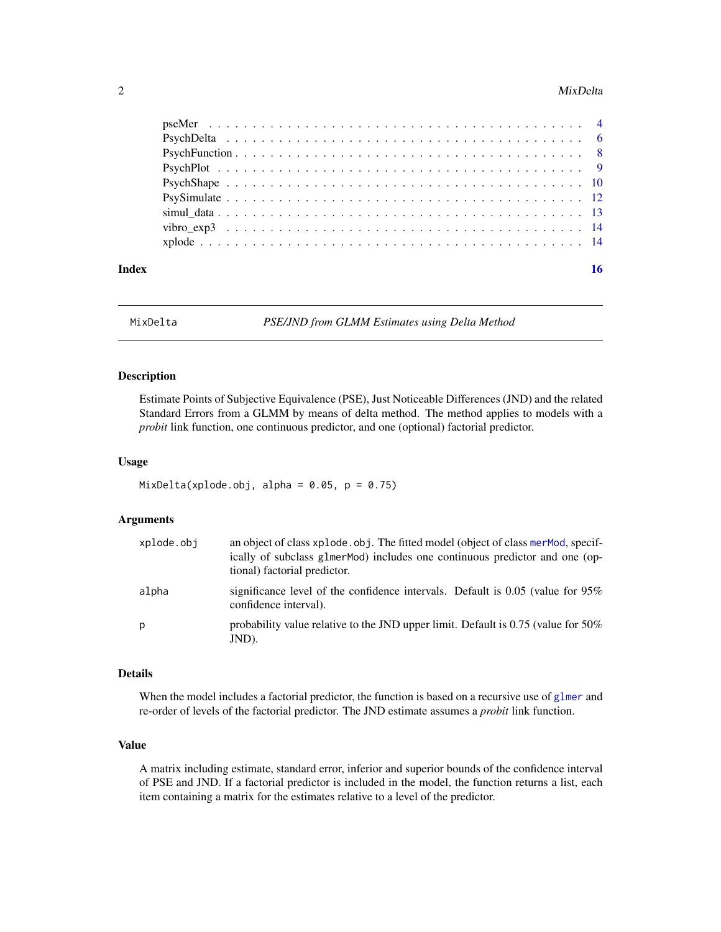#### <span id="page-1-0"></span>2 MixDelta

| Index | 16 |
|-------|----|

<span id="page-1-1"></span>

MixDelta *PSE/JND from GLMM Estimates using Delta Method*

# Description

Estimate Points of Subjective Equivalence (PSE), Just Noticeable Differences (JND) and the related Standard Errors from a GLMM by means of delta method. The method applies to models with a *probit* link function, one continuous predictor, and one (optional) factorial predictor.

# Usage

 $MixDelta(xplode.obj, alpha = 0.05, p = 0.75)$ 

# Arguments

| xplode.obj | an object of class xplode.obj. The fitted model (object of class merMod, specif-<br>ically of subclass glmer Mod) includes one continuous predictor and one (op-<br>tional) factorial predictor. |
|------------|--------------------------------------------------------------------------------------------------------------------------------------------------------------------------------------------------|
| alpha      | significance level of the confidence intervals. Default is $0.05$ (value for $95\%$<br>confidence interval).                                                                                     |
| p          | probability value relative to the JND upper limit. Default is $0.75$ (value for $50\%$ )<br>JND).                                                                                                |

# Details

When the model includes a factorial predictor, the function is based on a recursive use of [glmer](#page-0-0) and re-order of levels of the factorial predictor. The JND estimate assumes a *probit* link function.

# Value

A matrix including estimate, standard error, inferior and superior bounds of the confidence interval of PSE and JND. If a factorial predictor is included in the model, the function returns a list, each item containing a matrix for the estimates relative to a level of the predictor.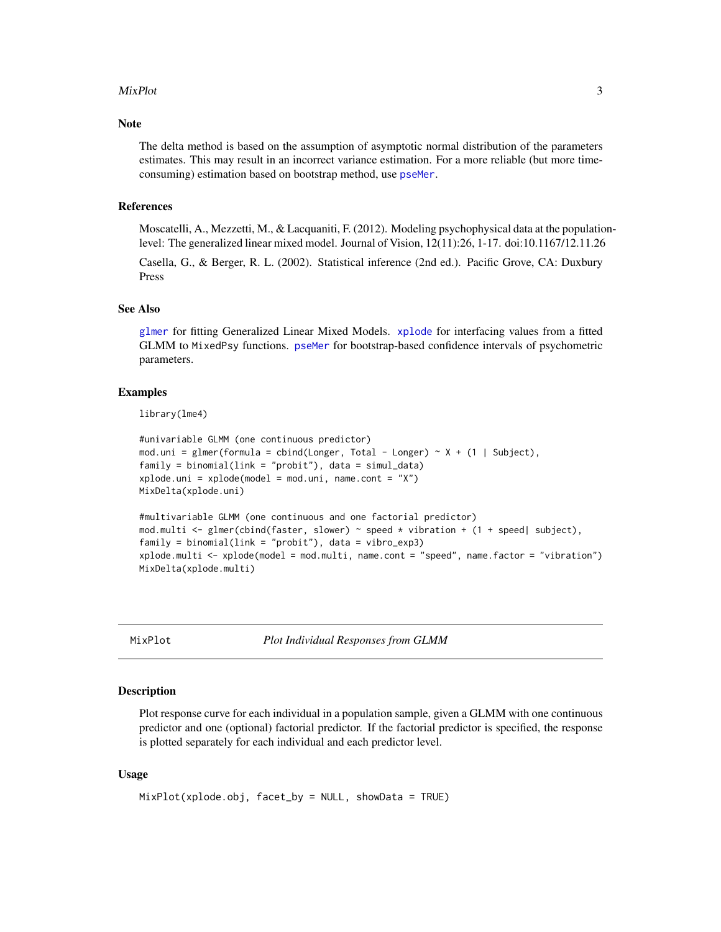#### <span id="page-2-0"></span>MixPlot 3

# Note

The delta method is based on the assumption of asymptotic normal distribution of the parameters estimates. This may result in an incorrect variance estimation. For a more reliable (but more timeconsuming) estimation based on bootstrap method, use [pseMer](#page-3-1).

# References

Moscatelli, A., Mezzetti, M., & Lacquaniti, F. (2012). Modeling psychophysical data at the populationlevel: The generalized linear mixed model. Journal of Vision, 12(11):26, 1-17. doi:10.1167/12.11.26

Casella, G., & Berger, R. L. (2002). Statistical inference (2nd ed.). Pacific Grove, CA: Duxbury Press

# See Also

[glmer](#page-0-0) for fitting Generalized Linear Mixed Models. [xplode](#page-13-1) for interfacing values from a fitted GLMM to MixedPsy functions. [pseMer](#page-3-1) for bootstrap-based confidence intervals of psychometric parameters.

# Examples

library(lme4)

```
#univariable GLMM (one continuous predictor)
mod.uni = glmer(formula = cbind(Longer, Total - Longer) ~ X + (1 | Subject),
family = binomial(link = "probit"), data = simul_data)
xplode.uni = xplode(model = mod.uni, name.cont = "X")
MixDelta(xplode.uni)
#multivariable GLMM (one continuous and one factorial predictor)
```

```
mod.multi <- glmer(cbind(faster, slower) \sim speed \star vibration + (1 + speed| subject),
family = binomial(link = "probit"), data = vibro_exp3)
xplode.multi <- xplode(model = mod.multi, name.cont = "speed", name.factor = "vibration")
MixDelta(xplode.multi)
```
<span id="page-2-1"></span>MixPlot *Plot Individual Responses from GLMM*

# Description

Plot response curve for each individual in a population sample, given a GLMM with one continuous predictor and one (optional) factorial predictor. If the factorial predictor is specified, the response is plotted separately for each individual and each predictor level.

# Usage

```
MixPlot(xplode.obj, facet_by = NULL, showData = TRUE)
```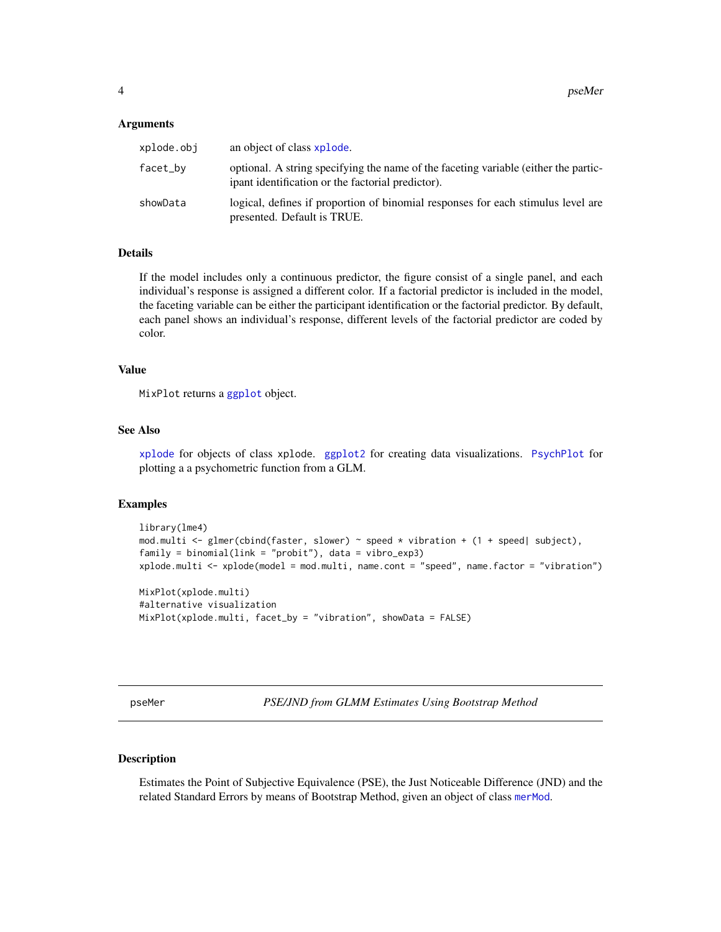#### <span id="page-3-0"></span>Arguments

| xplode.obi | an object of class xplode.                                                                                                               |
|------------|------------------------------------------------------------------------------------------------------------------------------------------|
| facet_bv   | optional. A string specifying the name of the faceting variable (either the partic-<br>ipant identification or the factorial predictor). |
| showData   | logical, defines if proportion of binomial responses for each stimulus level are<br>presented. Default is TRUE.                          |

# Details

If the model includes only a continuous predictor, the figure consist of a single panel, and each individual's response is assigned a different color. If a factorial predictor is included in the model, the faceting variable can be either the participant identification or the factorial predictor. By default, each panel shows an individual's response, different levels of the factorial predictor are coded by color.

#### Value

MixPlot returns a [ggplot](#page-0-0) object.

# See Also

[xplode](#page-13-1) for objects of class xplode. [ggplot2](#page-0-0) for creating data visualizations. [PsychPlot](#page-8-1) for plotting a a psychometric function from a GLM.

# Examples

```
library(lme4)
mod.multi <- glmer(cbind(faster, slower) ~ speed * vibration + (1 + speed| subject),
family = binomial(link = "probit"), data = vibro_exp3)
xplode.multi <- xplode(model = mod.multi, name.cont = "speed", name.factor = "vibration")
MixPlot(xplode.multi)
#alternative visualization
MixPlot(xplode.multi, facet_by = "vibration", showData = FALSE)
```
<span id="page-3-1"></span>pseMer *PSE/JND from GLMM Estimates Using Bootstrap Method*

# Description

Estimates the Point of Subjective Equivalence (PSE), the Just Noticeable Difference (JND) and the related Standard Errors by means of Bootstrap Method, given an object of class [merMod](#page-0-0).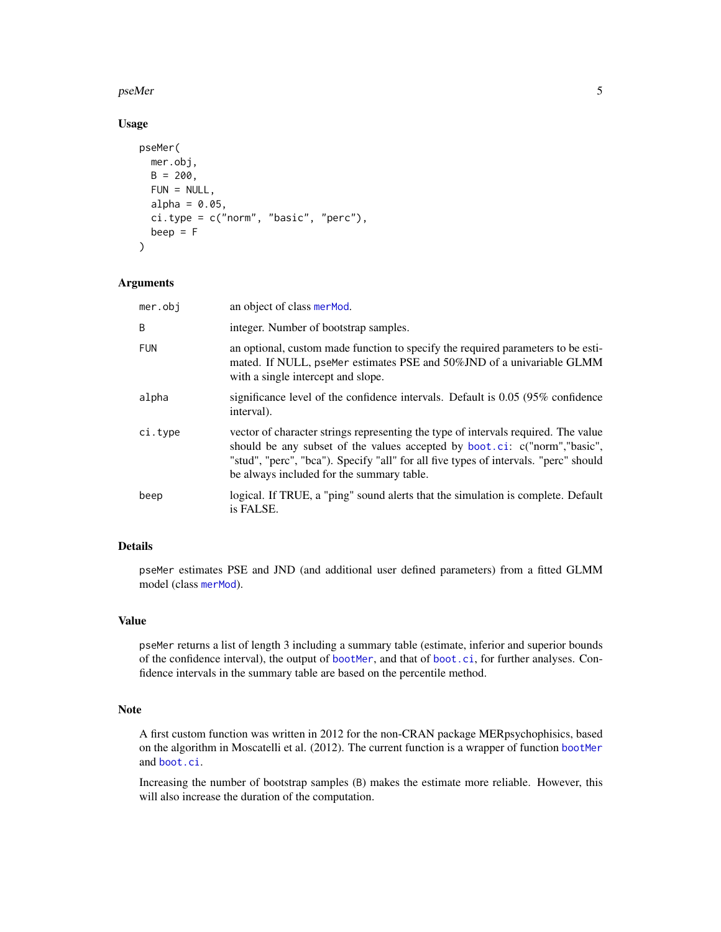#### <span id="page-4-0"></span>pseMer 55 and 55 and 55 and 55 and 55 and 55 and 55 and 55 and 55 and 55 and 55 and 55 and 55 and 55 and 55 and 55 and 55 and 55 and 55 and 55 and 55 and 55 and 55 and 55 and 55 and 55 and 55 and 55 and 55 and 55 and 55 an

# Usage

```
pseMer(
  mer.obj,
  B = 200,
  FUN = NULL,
  alpha = 0.05,
  ci.type = c("norm", "basic", "perc"),
  beep = F\mathcal{L}
```
# Arguments

| mer.obj    | an object of class merMod.                                                                                                                                                                                                                                                                           |
|------------|------------------------------------------------------------------------------------------------------------------------------------------------------------------------------------------------------------------------------------------------------------------------------------------------------|
| B          | integer. Number of bootstrap samples.                                                                                                                                                                                                                                                                |
| <b>FUN</b> | an optional, custom made function to specify the required parameters to be esti-<br>mated. If NULL, pseMer estimates PSE and 50%JND of a univariable GLMM<br>with a single intercept and slope.                                                                                                      |
| alpha      | significance level of the confidence intervals. Default is $0.05$ (95% confidence<br>interval).                                                                                                                                                                                                      |
| ci.type    | vector of character strings representing the type of intervals required. The value<br>should be any subset of the values accepted by boot.ci: c("norm","basic",<br>"stud", "perc", "bca"). Specify "all" for all five types of intervals. "perc" should<br>be always included for the summary table. |
| beep       | logical. If TRUE, a "ping" sound alerts that the simulation is complete. Default<br>is FALSE.                                                                                                                                                                                                        |

# Details

pseMer estimates PSE and JND (and additional user defined parameters) from a fitted GLMM model (class [merMod](#page-0-0)).

# Value

pseMer returns a list of length 3 including a summary table (estimate, inferior and superior bounds of the confidence interval), the output of [bootMer](#page-0-0), and that of [boot.ci](#page-0-0), for further analyses. Confidence intervals in the summary table are based on the percentile method.

# Note

A first custom function was written in 2012 for the non-CRAN package MERpsychophisics, based on the algorithm in Moscatelli et al. (2012). The current function is a wrapper of function [bootMer](#page-0-0) and [boot.ci](#page-0-0).

Increasing the number of bootstrap samples (B) makes the estimate more reliable. However, this will also increase the duration of the computation.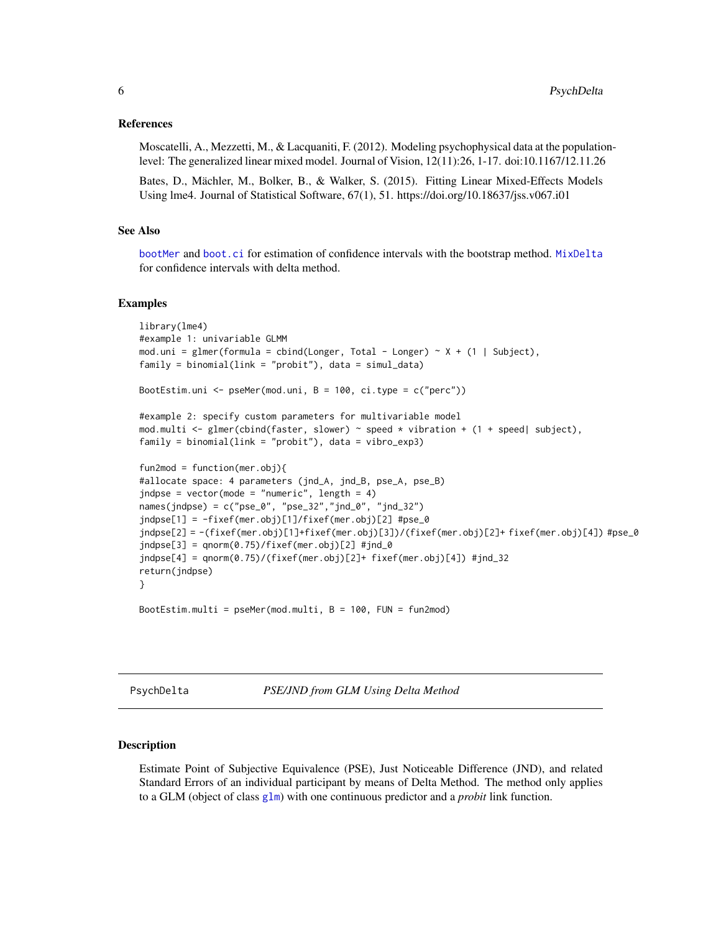# <span id="page-5-0"></span>References

Moscatelli, A., Mezzetti, M., & Lacquaniti, F. (2012). Modeling psychophysical data at the populationlevel: The generalized linear mixed model. Journal of Vision, 12(11):26, 1-17. doi:10.1167/12.11.26

Bates, D., Mächler, M., Bolker, B., & Walker, S. (2015). Fitting Linear Mixed-Effects Models Using lme4. Journal of Statistical Software, 67(1), 51. https://doi.org/10.18637/jss.v067.i01

# See Also

[bootMer](#page-0-0) and [boot.ci](#page-0-0) for estimation of confidence intervals with the bootstrap method. [MixDelta](#page-1-1) for confidence intervals with delta method.

#### Examples

```
library(lme4)
#example 1: univariable GLMM
mod.uni = glmer(formula = cbind(Longer, Total - Longer) ~ X + (1 | Subject),
family = binomial(link = "probit"), data = simul_data)
BootEstim.uni <- pseMer(mod.uni, B = 100, ci.type = c("perc"))
#example 2: specify custom parameters for multivariable model
mod.multi <- glmer(cbind(faster, slower) ~ speed * vibration + (1 + speed| subject),
family = binomial(link = "probit"), data = vibro_exp3)
fun2mod = function(mer.obj)#allocate space: 4 parameters (jnd_A, jnd_B, pse_A, pse_B)
jndpse = vector(mode = "numeric", length = 4)
names(jndpse) = c("pse_0", "pse_32", "jnd_0", "jnd_32")jndpse[1] = -fixef(mer.obj)[1]/fixef(mer.obj)[2] #pse_0
jndpse[2] = -(fixef(mer.obj)[1]+fixef(mer.obj)[3])/(fixef(mer.obj)[2]+ fixef(mer.obj)[4]) #pse_0
jndpse[3] = qnorm(0.75)/fixef(mer.obj)[2] #jnd_0jndpse[4] = qnorm(0.75)/(fixef(mer.obj)[2]+ fixef(mer.obj)[4]) #jnd_32
return(jndpse)
}
```
BootEstim.multi = pseMer(mod.multi, B = 100, FUN = fun2mod)

<span id="page-5-1"></span>PsychDelta *PSE/JND from GLM Using Delta Method*

#### Description

Estimate Point of Subjective Equivalence (PSE), Just Noticeable Difference (JND), and related Standard Errors of an individual participant by means of Delta Method. The method only applies to a GLM (object of class [glm](#page-0-0)) with one continuous predictor and a *probit* link function.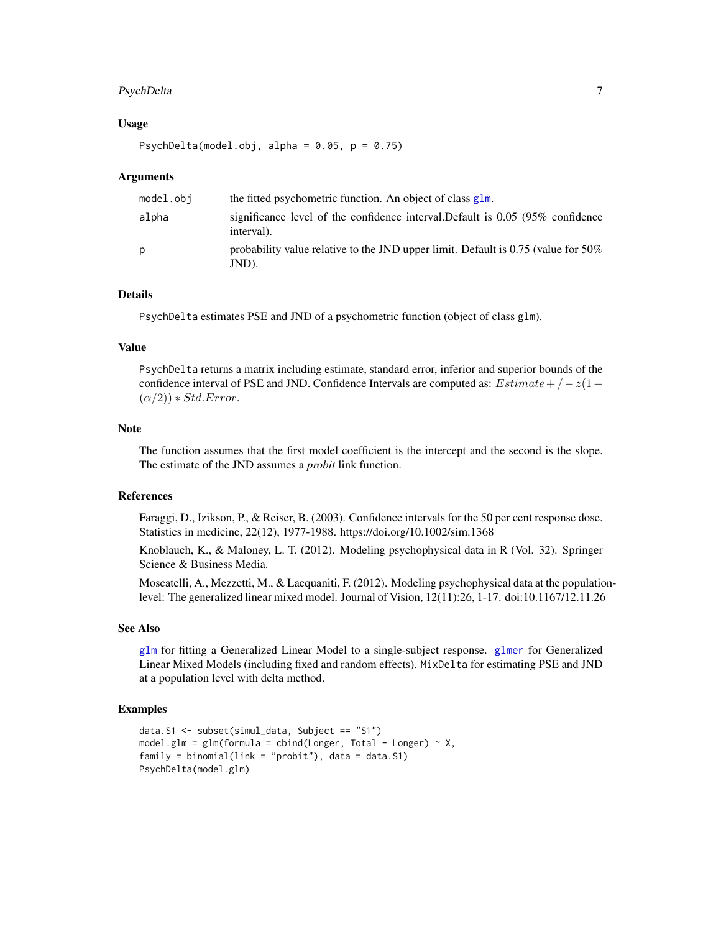# <span id="page-6-0"></span>PsychDelta 7

# Usage

PsychDelta(model.obj, alpha =  $0.05$ ,  $p = 0.75$ )

# Arguments

| model.obj | the fitted psychometric function. An object of class glm.                                         |
|-----------|---------------------------------------------------------------------------------------------------|
| alpha     | significance level of the confidence interval. Default is 0.05 (95% confidence<br>interval).      |
| p         | probability value relative to the JND upper limit. Default is $0.75$ (value for $50\%$ )<br>JND). |

# Details

PsychDelta estimates PSE and JND of a psychometric function (object of class glm).

# Value

PsychDelta returns a matrix including estimate, standard error, inferior and superior bounds of the confidence interval of PSE and JND. Confidence Intervals are computed as:  $Estimate + / -z(1 (\alpha/2)$ ) \* Std.Error.

#### Note

The function assumes that the first model coefficient is the intercept and the second is the slope. The estimate of the JND assumes a *probit* link function.

# References

Faraggi, D., Izikson, P., & Reiser, B. (2003). Confidence intervals for the 50 per cent response dose. Statistics in medicine, 22(12), 1977-1988. https://doi.org/10.1002/sim.1368

Knoblauch, K., & Maloney, L. T. (2012). Modeling psychophysical data in R (Vol. 32). Springer Science & Business Media.

Moscatelli, A., Mezzetti, M., & Lacquaniti, F. (2012). Modeling psychophysical data at the populationlevel: The generalized linear mixed model. Journal of Vision, 12(11):26, 1-17. doi:10.1167/12.11.26

# See Also

[glm](#page-0-0) for fitting a Generalized Linear Model to a single-subject response. [glmer](#page-0-0) for Generalized Linear Mixed Models (including fixed and random effects). MixDelta for estimating PSE and JND at a population level with delta method.

# Examples

```
data.S1 <- subset(simul_data, Subject == "S1")
model.glm = glm(formula = cbind(Longer, Total - Longer) ~ x,family = binomial(link = "probit"), data = data.S1)
PsychDelta(model.glm)
```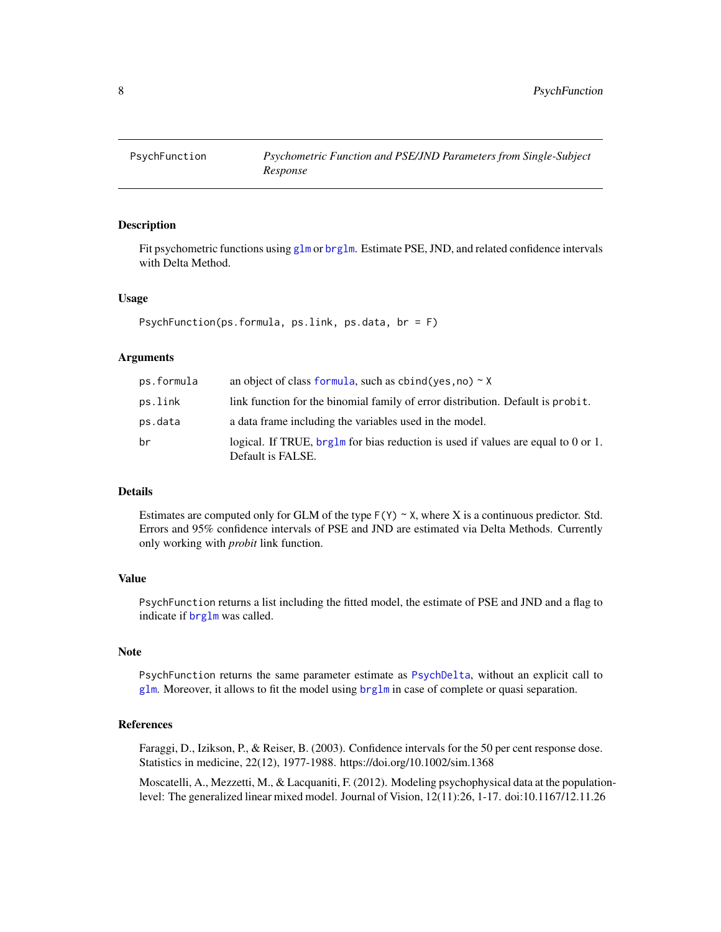<span id="page-7-1"></span><span id="page-7-0"></span>

# Description

Fit psychometric functions using [glm](#page-0-0) or [brglm](#page-0-0). Estimate PSE, JND, and related confidence intervals with Delta Method.

#### Usage

PsychFunction(ps.formula, ps.link, ps.data, br = F)

# Arguments

| ps.formula | an object of class formula, such as cbind(yes, no) $\sim$ X                                            |
|------------|--------------------------------------------------------------------------------------------------------|
| ps.link    | link function for the binomial family of error distribution. Default is probit.                        |
| ps.data    | a data frame including the variables used in the model.                                                |
| br         | logical. If TRUE, brg1m for bias reduction is used if values are equal to 0 or 1.<br>Default is FALSE. |

# Details

Estimates are computed only for GLM of the type  $F(Y) \sim X$ , where X is a continuous predictor. Std. Errors and 95% confidence intervals of PSE and JND are estimated via Delta Methods. Currently only working with *probit* link function.

# Value

PsychFunction returns a list including the fitted model, the estimate of PSE and JND and a flag to indicate if [brglm](#page-0-0) was called.

# **Note**

PsychFunction returns the same parameter estimate as [PsychDelta](#page-5-1), without an explicit call to [glm](#page-0-0). Moreover, it allows to fit the model using  $brglm$  in case of complete or quasi separation.

# References

Faraggi, D., Izikson, P., & Reiser, B. (2003). Confidence intervals for the 50 per cent response dose. Statistics in medicine, 22(12), 1977-1988. https://doi.org/10.1002/sim.1368

Moscatelli, A., Mezzetti, M., & Lacquaniti, F. (2012). Modeling psychophysical data at the populationlevel: The generalized linear mixed model. Journal of Vision, 12(11):26, 1-17. doi:10.1167/12.11.26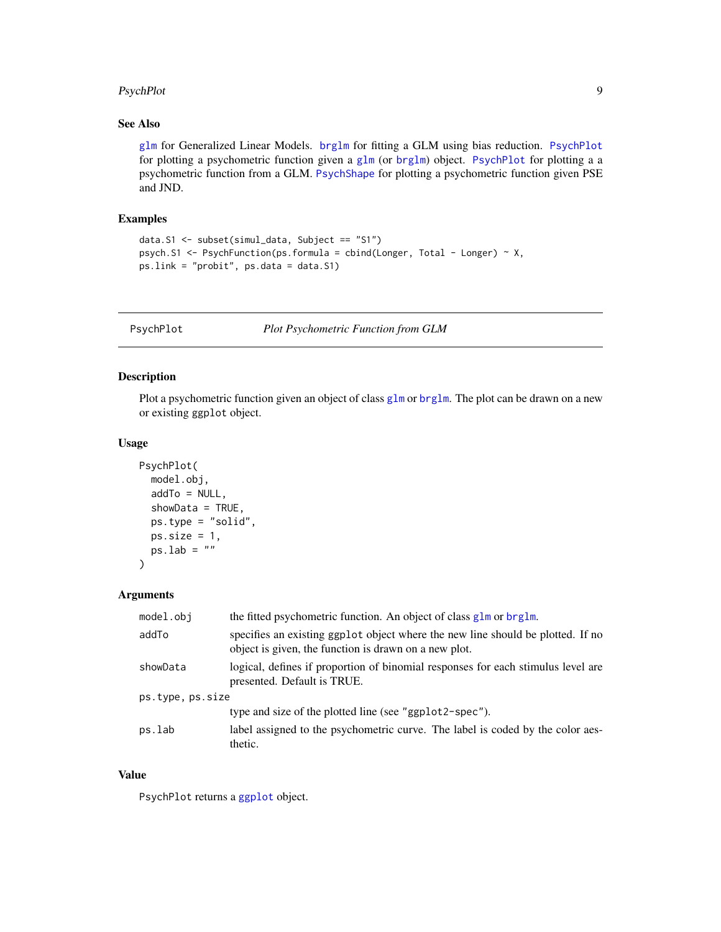# <span id="page-8-0"></span>PsychPlot 99 and 2012 12:00 percent of the set of the set of the set of the set of the set of the set of the set of the set of the set of the set of the set of the set of the set of the set of the set of the set of the set

# See Also

[glm](#page-0-0) for Generalized Linear Models. [brglm](#page-0-0) for fitting a GLM using bias reduction. [PsychPlot](#page-8-1) for plotting a psychometric function given a [glm](#page-0-0) (or [brglm](#page-0-0)) object. [PsychPlot](#page-8-1) for plotting a a psychometric function from a GLM. [PsychShape](#page-9-1) for plotting a psychometric function given PSE and JND.

# Examples

```
data.S1 <- subset(simul_data, Subject == "S1")
psych.S1 <- PsychFunction(ps.formula = cbind(Longer, Total - Longer) ~ X,
ps.link = "probit", ps.data = data.S1)
```
<span id="page-8-1"></span>PsychPlot *Plot Psychometric Function from GLM*

# Description

Plot a psychometric function given an object of class [glm](#page-0-0) or [brglm](#page-0-0). The plot can be drawn on a new or existing ggplot object.

# Usage

```
PsychPlot(
  model.obj,
  addTo = NULL,showData = TRUE,
  ps.type = "solid",
  ps.size = 1,
  ps.lab = ""\mathcal{L}
```
# Arguments

| model.obj        | the fitted psychometric function. An object of class glm or brglm.                                                                       |
|------------------|------------------------------------------------------------------------------------------------------------------------------------------|
| addTo            | specifies an existing ggplot object where the new line should be plotted. If no<br>object is given, the function is drawn on a new plot. |
| showData         | logical, defines if proportion of binomial responses for each stimulus level are<br>presented. Default is TRUE.                          |
| ps.type, ps.size |                                                                                                                                          |
|                  | type and size of the plotted line (see "ggplot2-spec").                                                                                  |
| ps.lab           | label assigned to the psychometric curve. The label is coded by the color aes-<br>thetic.                                                |

# Value

PsychPlot returns a [ggplot](#page-0-0) object.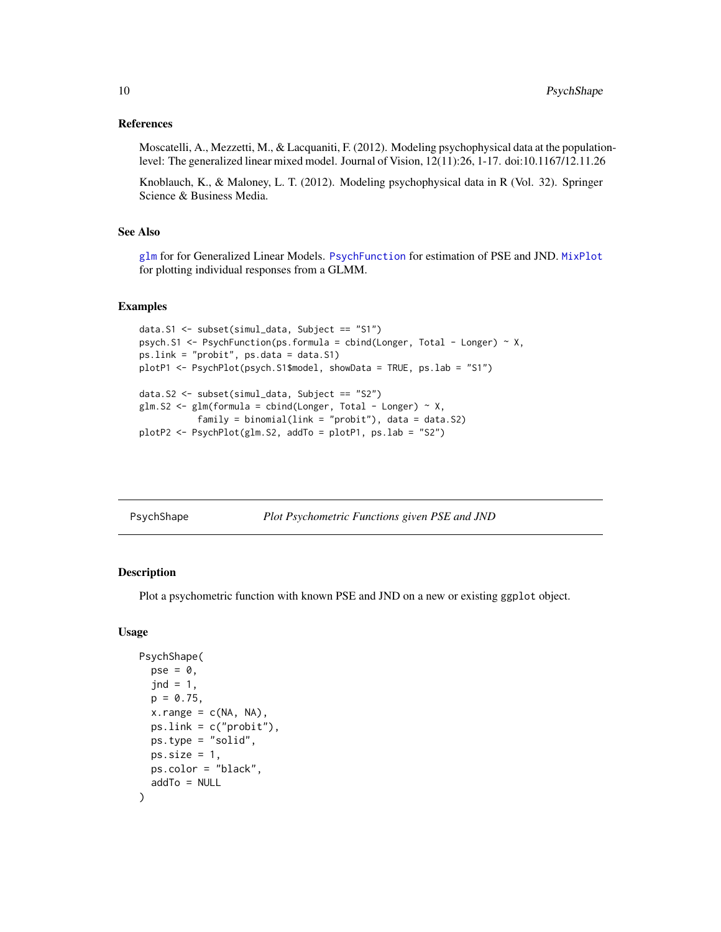# <span id="page-9-0"></span>References

Moscatelli, A., Mezzetti, M., & Lacquaniti, F. (2012). Modeling psychophysical data at the populationlevel: The generalized linear mixed model. Journal of Vision, 12(11):26, 1-17. doi:10.1167/12.11.26

Knoblauch, K., & Maloney, L. T. (2012). Modeling psychophysical data in R (Vol. 32). Springer Science & Business Media.

# See Also

[glm](#page-0-0) for for Generalized Linear Models. [PsychFunction](#page-7-1) for estimation of PSE and JND. [MixPlot](#page-2-1) for plotting individual responses from a GLMM.

# Examples

```
data.S1 <- subset(simul_data, Subject == "S1")
psych.S1 <- PsychFunction(ps.formula = cbind(Longer, Total - Longer) \sim X,
ps.link = "probit", ps.data = data.S1)
plotP1 <- PsychPlot(psych.S1$model, showData = TRUE, ps.lab = "S1")
data.S2 <- subset(simul_data, Subject == "S2")
glm.S2 \leq glm(formula = chind(Longer, Total - Longer) \sim X,family = binomial(link = "probit"), data = data.S2)
plotP2 <- PsychPlot(glm.S2, addTo = plotP1, ps.lab = "S2")
```
<span id="page-9-1"></span>PsychShape *Plot Psychometric Functions given PSE and JND*

# Description

Plot a psychometric function with known PSE and JND on a new or existing ggplot object.

#### Usage

```
PsychShape(
 pse = 0,
  jnd = 1,
 p = 0.75,
 x.random = c(NA, NA),ps.link = c("probit").ps.type = "solid",
 ps.size = 1,
 ps.color = "black",
  addTo = NULL
)
```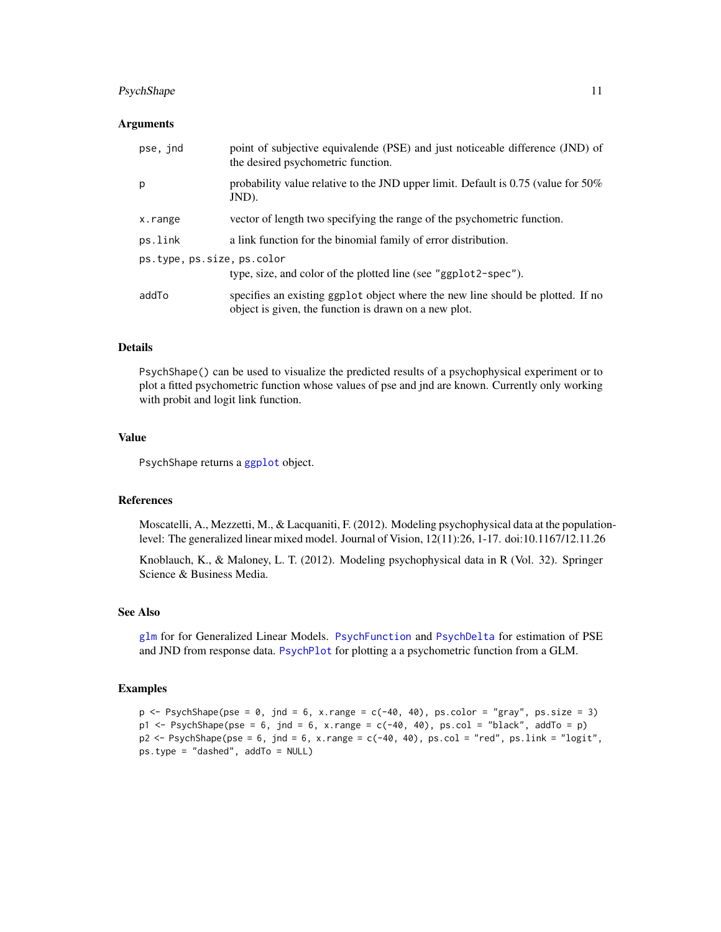# <span id="page-10-0"></span>PsychShape 11

# Arguments

| pse, jnd                   | point of subjective equivalende (PSE) and just noticeable difference (JND) of<br>the desired psychometric function.                      |  |  |  |  |  |
|----------------------------|------------------------------------------------------------------------------------------------------------------------------------------|--|--|--|--|--|
| p                          | probability value relative to the JND upper limit. Default is $0.75$ (value for $50\%$ )<br>JND).                                        |  |  |  |  |  |
| x.range                    | vector of length two specifying the range of the psychometric function.                                                                  |  |  |  |  |  |
| ps.link                    | a link function for the binomial family of error distribution.                                                                           |  |  |  |  |  |
| ps.type, ps.size, ps.color |                                                                                                                                          |  |  |  |  |  |
|                            | type, size, and color of the plotted line (see "ggplot2-spec").                                                                          |  |  |  |  |  |
| addTo                      | specifies an existing ggplot object where the new line should be plotted. If no<br>object is given, the function is drawn on a new plot. |  |  |  |  |  |

# Details

PsychShape() can be used to visualize the predicted results of a psychophysical experiment or to plot a fitted psychometric function whose values of pse and jnd are known. Currently only working with probit and logit link function.

#### Value

PsychShape returns a [ggplot](#page-0-0) object.

#### References

Moscatelli, A., Mezzetti, M., & Lacquaniti, F. (2012). Modeling psychophysical data at the populationlevel: The generalized linear mixed model. Journal of Vision, 12(11):26, 1-17. doi:10.1167/12.11.26

Knoblauch, K., & Maloney, L. T. (2012). Modeling psychophysical data in R (Vol. 32). Springer Science & Business Media.

# See Also

[glm](#page-0-0) for for Generalized Linear Models. [PsychFunction](#page-7-1) and [PsychDelta](#page-5-1) for estimation of PSE and JND from response data. [PsychPlot](#page-8-1) for plotting a a psychometric function from a GLM.

#### Examples

```
p \leq -PsychShape(pse = 0, jnd = 6, x.range = c(-40, 40), ps.color = "gray", ps.size = 3)
p1 <- PsychShape(pse = 6, jnd = 6, x.range = c(-40, 40), ps.col = "black", addTo = p)
p2 \leq -PsychShape(pse = 6, jnd = 6, x.range = c(-40, 40), ps.col = "red", ps.link = "logit",
ps.type = "dashed", addTo = NULL)
```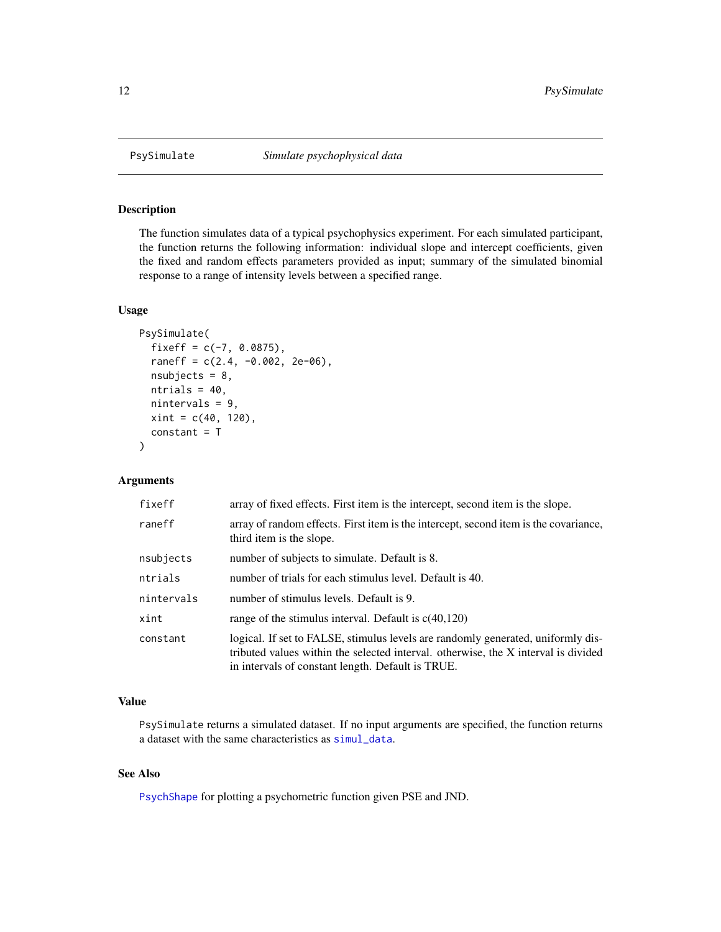<span id="page-11-1"></span><span id="page-11-0"></span>

# Description

The function simulates data of a typical psychophysics experiment. For each simulated participant, the function returns the following information: individual slope and intercept coefficients, given the fixed and random effects parameters provided as input; summary of the simulated binomial response to a range of intensity levels between a specified range.

# Usage

```
PsySimulate(
  fixeff = c(-7, 0.0875),
  raneff = c(2.4, -0.002, 2e-06),
  nsubjects = 8,
  ntrials = 40,
  nintervals = 9,
  xint = c(40, 120),
  constant = T
)
```
# Arguments

| fixeff     | array of fixed effects. First item is the intercept, second item is the slope.                                                                                                                                              |
|------------|-----------------------------------------------------------------------------------------------------------------------------------------------------------------------------------------------------------------------------|
| raneff     | array of random effects. First item is the intercept, second item is the covariance,<br>third item is the slope.                                                                                                            |
| nsubjects  | number of subjects to simulate. Default is 8.                                                                                                                                                                               |
| ntrials    | number of trials for each stimulus level. Default is 40.                                                                                                                                                                    |
| nintervals | number of stimulus levels. Default is 9.                                                                                                                                                                                    |
| xint       | range of the stimulus interval. Default is $c(40,120)$                                                                                                                                                                      |
| constant   | logical. If set to FALSE, stimulus levels are randomly generated, uniformly dis-<br>tributed values within the selected interval. otherwise, the X interval is divided<br>in intervals of constant length. Default is TRUE. |

# Value

PsySimulate returns a simulated dataset. If no input arguments are specified, the function returns a dataset with the same characteristics as [simul\\_data](#page-12-1).

# See Also

[PsychShape](#page-9-1) for plotting a psychometric function given PSE and JND.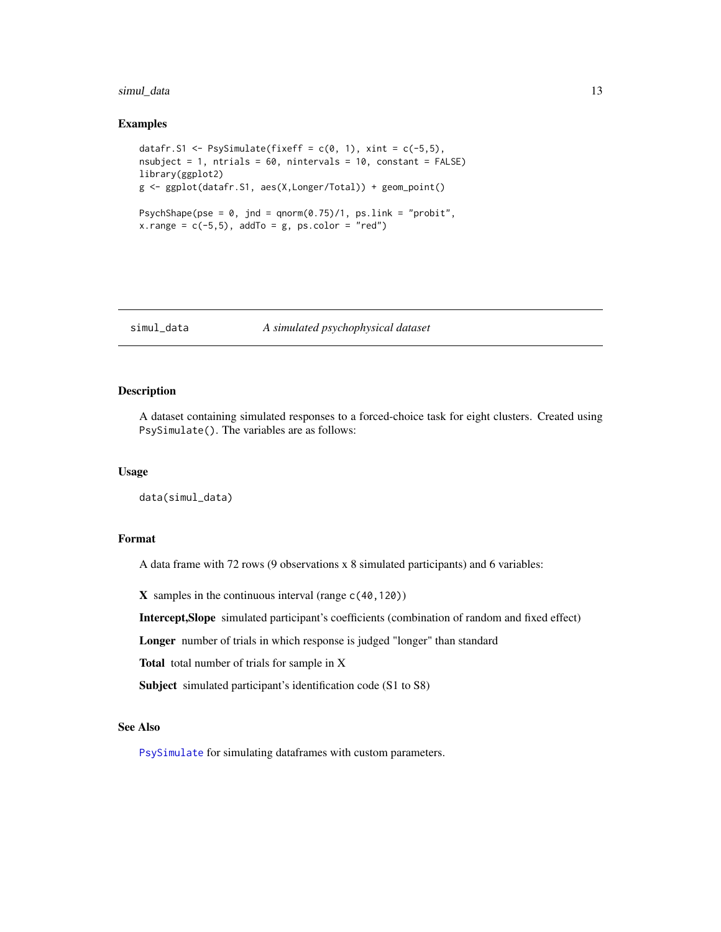#### <span id="page-12-0"></span>simul\_data 13

# Examples

```
datafr.S1 <- PsySimulate(fixeff = c(0, 1), xint = c(-5, 5),
nsubject = 1, ntrials = 60, nintervals = 10, constant = FALSE)
library(ggplot2)
g <- ggplot(datafr.S1, aes(X,Longer/Total)) + geom_point()
PsychShape(pse = 0, jnd = qnorm(0.75)/1, ps.link = "probit",
x.random = c(-5, 5), addTo = g, ps.color = "red")
```
# <span id="page-12-1"></span>simul\_data *A simulated psychophysical dataset*

# Description

A dataset containing simulated responses to a forced-choice task for eight clusters. Created using PsySimulate(). The variables are as follows:

# Usage

data(simul\_data)

# Format

A data frame with 72 rows (9 observations x 8 simulated participants) and 6 variables:

 $X$  samples in the continuous interval (range  $c(40,120)$ )

Intercept,Slope simulated participant's coefficients (combination of random and fixed effect)

Longer number of trials in which response is judged "longer" than standard

Total total number of trials for sample in X

Subject simulated participant's identification code (S1 to S8)

# See Also

[PsySimulate](#page-11-1) for simulating dataframes with custom parameters.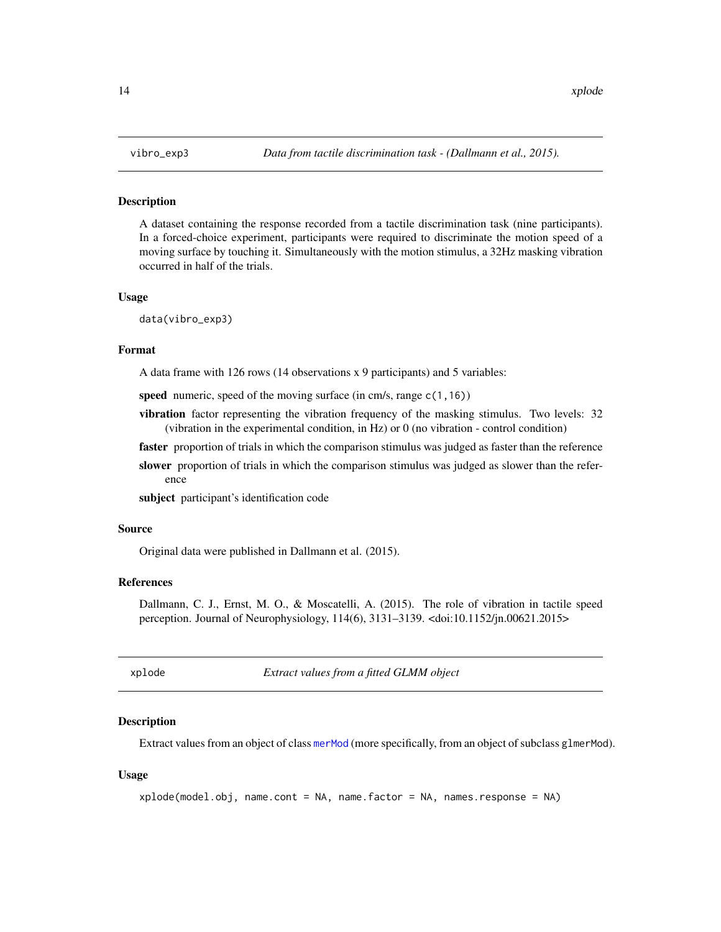# **Description**

A dataset containing the response recorded from a tactile discrimination task (nine participants). In a forced-choice experiment, participants were required to discriminate the motion speed of a moving surface by touching it. Simultaneously with the motion stimulus, a 32Hz masking vibration occurred in half of the trials.

# Usage

data(vibro\_exp3)

#### Format

A data frame with 126 rows (14 observations x 9 participants) and 5 variables:

speed numeric, speed of the moving surface (in cm/s, range c(1,16))

vibration factor representing the vibration frequency of the masking stimulus. Two levels: 32 (vibration in the experimental condition, in Hz) or 0 (no vibration - control condition)

faster proportion of trials in which the comparison stimulus was judged as faster than the reference

slower proportion of trials in which the comparison stimulus was judged as slower than the reference

subject participant's identification code

#### Source

Original data were published in Dallmann et al. (2015).

# References

Dallmann, C. J., Ernst, M. O., & Moscatelli, A. (2015). The role of vibration in tactile speed perception. Journal of Neurophysiology, 114(6), 3131–3139. <doi:10.1152/jn.00621.2015>

<span id="page-13-1"></span>xplode *Extract values from a fitted GLMM object*

# **Description**

Extract values from an object of class [merMod](#page-0-0) (more specifically, from an object of subclass glmerMod).

# Usage

```
xplode(model.obj, name.cont = NA, name.factor = NA, names.response = NA)
```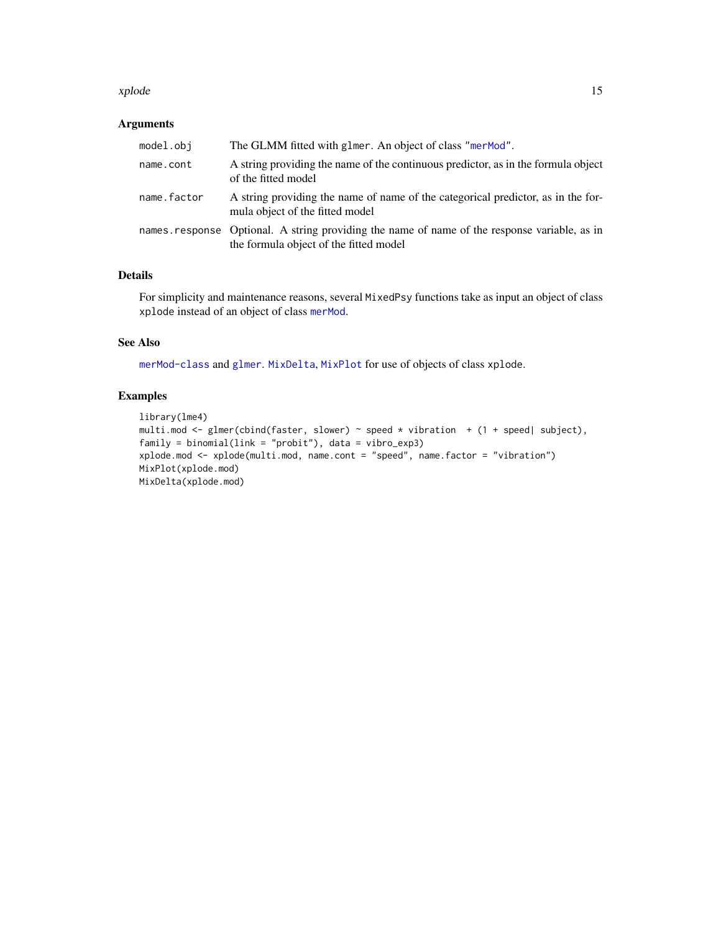#### <span id="page-14-0"></span>xplode that the state of the state of the state of the state of the state of the state of the state of the state of the state of the state of the state of the state of the state of the state of the state of the state of th

# Arguments

| model.obj   | The GLMM fitted with glmer. An object of class "merMod".                                                                               |
|-------------|----------------------------------------------------------------------------------------------------------------------------------------|
| name.cont   | A string providing the name of the continuous predictor, as in the formula object<br>of the fitted model                               |
| name.factor | A string providing the name of name of the categorical predictor, as in the for-<br>mula object of the fitted model                    |
|             | names response Optional. A string providing the name of name of the response variable, as in<br>the formula object of the fitted model |

# Details

For simplicity and maintenance reasons, several MixedPsy functions take as input an object of class xplode instead of an object of class [merMod](#page-0-0).

# See Also

[merMod-class](#page-0-0) and [glmer](#page-0-0). [MixDelta](#page-1-1), [MixPlot](#page-2-1) for use of objects of class xplode.

# Examples

```
library(lme4)
multi.mod <- glmer(cbind(faster, slower) ~ speed * vibration + (1 + speed| subject),
family = binomial(link = "probit"), data = vibro_exp3)
xplode.mod <- xplode(multi.mod, name.cont = "speed", name.factor = "vibration")
MixPlot(xplode.mod)
MixDelta(xplode.mod)
```